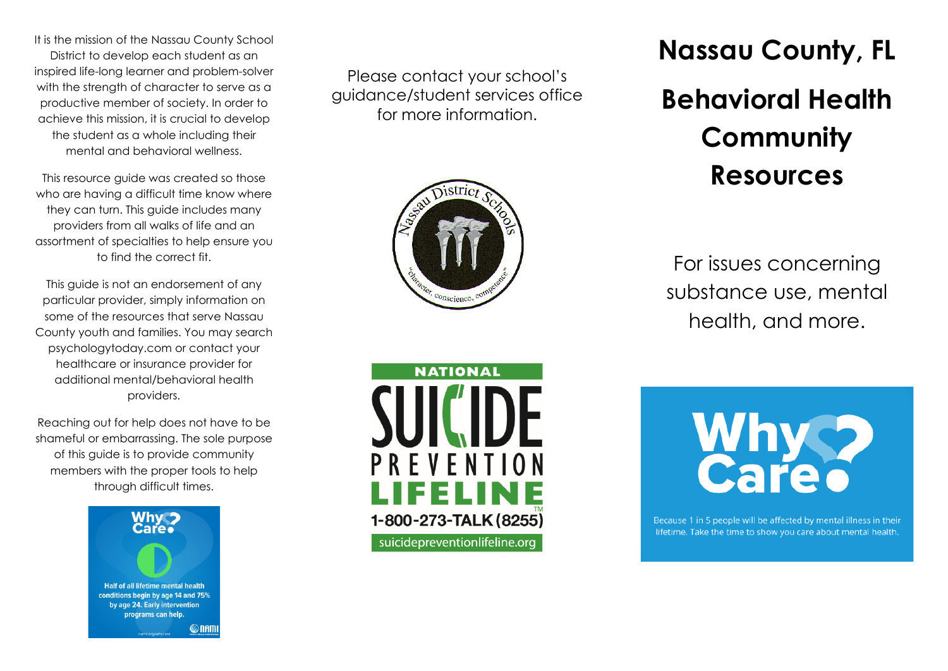It is the mission of the Nassau County School District to develop each student as an inspired life-long learner and problem-solver with the strength of character to serve as a productive member of society. In order to achieve this mission, it is crucial to develop the student as a whole including their mental and behavioral wellness.

This resource guide was created so those who are having a difficult time know where they can turn. This guide includes many providers from all walks of life and an assortment of specialties to help ensure you to find the correct fit.

This guide is not an endorsement of any particular provider, simply information on some of the resources that serve Nassau County youth and families. You may search psychologytoday.com or contact your healthcare or insurance provider for additional mental/behavioral health providers.

Reaching out for help does not have to be shameful or embarrassing. The sole purpose of this guide is to provide community members with the proper tools to help through difficult times.



Please contact your school's guidance/student services office for more information.





**Nassau County, FL Behavioral Health Community Resources**

For issues concerning substance use, mental health, and more.



Because 1 in 5 people will be affected by mental illness in their lifetime. Take the time to show you care about mental health.